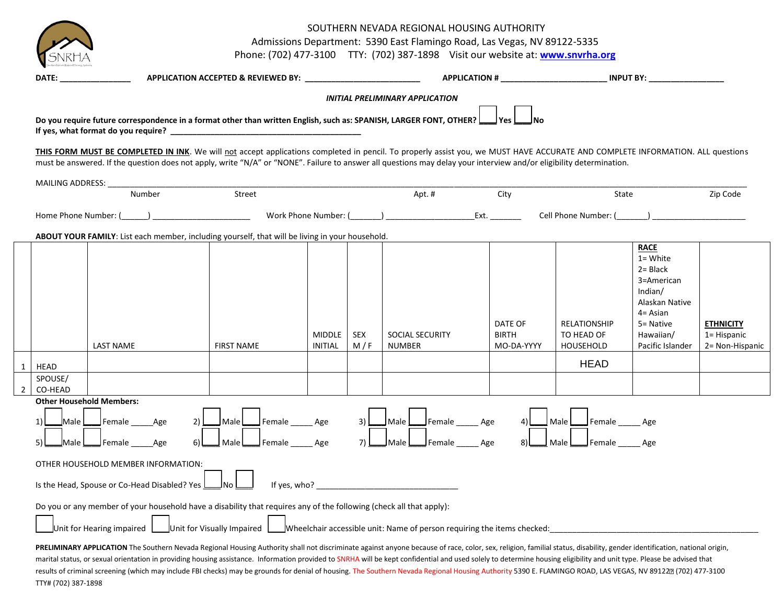SOUTHERN NEVADA REGIONAL HOUSING AUTHORITY

Admissions Department: 5390 East Flamingo Road, Las Vegas, NV 89122-5335

Phone: (702) 477-3100 TTY: (702) 387-1898 Visit our website at: **[www.snvrha.org](http://www.snvrha.org/)**

|                                     | APPLICATION ACCEPTED & REVIEWED BY: ___________________________<br>DATE: the contract of the contract of the contract of the contract of the contract of the contract of the contract of the contract of the contract of the contract of the contract of the contract of the contract of the cont                                                                                                                                                                                                                                                                                                                                                                 |                                                                                                            |                          |            |                                                                                                                                                                                                                                                                                                                                    |                                       | APPLICATION # INPUT BY:                                          |                                                                                                                                                   |                                                    |
|-------------------------------------|-------------------------------------------------------------------------------------------------------------------------------------------------------------------------------------------------------------------------------------------------------------------------------------------------------------------------------------------------------------------------------------------------------------------------------------------------------------------------------------------------------------------------------------------------------------------------------------------------------------------------------------------------------------------|------------------------------------------------------------------------------------------------------------|--------------------------|------------|------------------------------------------------------------------------------------------------------------------------------------------------------------------------------------------------------------------------------------------------------------------------------------------------------------------------------------|---------------------------------------|------------------------------------------------------------------|---------------------------------------------------------------------------------------------------------------------------------------------------|----------------------------------------------------|
|                                     |                                                                                                                                                                                                                                                                                                                                                                                                                                                                                                                                                                                                                                                                   |                                                                                                            |                          |            | <b>INITIAL PRELIMINARY APPLICATION</b>                                                                                                                                                                                                                                                                                             |                                       |                                                                  |                                                                                                                                                   |                                                    |
|                                     | Do you require future correspondence in a format other than written English, such as: SPANISH, LARGER FONT, OTHER?<br>If yes, what format do you require? The state of the state of the state of the state of the state of the state o                                                                                                                                                                                                                                                                                                                                                                                                                            |                                                                                                            |                          |            |                                                                                                                                                                                                                                                                                                                                    | l Yes                                 |                                                                  |                                                                                                                                                   |                                                    |
|                                     | THIS FORM MUST BE COMPLETED IN INK. We will not accept applications completed in pencil. To properly assist you, we MUST HAVE ACCURATE AND COMPLETE INFORMATION. ALL questions<br>must be answered. If the question does not apply, write "N/A" or "NONE". Failure to answer all questions may delay your interview and/or eligibility determination.                                                                                                                                                                                                                                                                                                             |                                                                                                            |                          |            |                                                                                                                                                                                                                                                                                                                                    |                                       |                                                                  |                                                                                                                                                   |                                                    |
| MAILING ADDRESS:                    |                                                                                                                                                                                                                                                                                                                                                                                                                                                                                                                                                                                                                                                                   |                                                                                                            |                          |            |                                                                                                                                                                                                                                                                                                                                    |                                       |                                                                  |                                                                                                                                                   |                                                    |
|                                     | Number                                                                                                                                                                                                                                                                                                                                                                                                                                                                                                                                                                                                                                                            | Street                                                                                                     |                          |            | Apt. #                                                                                                                                                                                                                                                                                                                             | City                                  | State                                                            |                                                                                                                                                   | Zip Code                                           |
| Home Phone Number: (                |                                                                                                                                                                                                                                                                                                                                                                                                                                                                                                                                                                                                                                                                   |                                                                                                            | Work Phone Number: (     |            | $\overline{z}$ and $\overline{z}$ and $\overline{z}$ and $\overline{z}$ and $\overline{z}$ and $\overline{z}$ and $\overline{z}$ and $\overline{z}$ and $\overline{z}$ and $\overline{z}$ and $\overline{z}$ and $\overline{z}$ and $\overline{z}$ and $\overline{z}$ and $\overline{z}$ and $\overline{z}$ and $\overline{z}$ and |                                       | Cell Phone Number: (                                             |                                                                                                                                                   |                                                    |
|                                     | ABOUT YOUR FAMILY: List each member, including yourself, that will be living in your household.                                                                                                                                                                                                                                                                                                                                                                                                                                                                                                                                                                   |                                                                                                            |                          |            |                                                                                                                                                                                                                                                                                                                                    |                                       |                                                                  |                                                                                                                                                   |                                                    |
|                                     | <b>LAST NAME</b>                                                                                                                                                                                                                                                                                                                                                                                                                                                                                                                                                                                                                                                  | <b>FIRST NAME</b>                                                                                          | <b>MIDDLE</b><br>INITIAL | SEX<br>M/F | SOCIAL SECURITY<br><b>NUMBER</b>                                                                                                                                                                                                                                                                                                   | DATE OF<br><b>BIRTH</b><br>MO-DA-YYYY | <b>RELATIONSHIP</b><br>TO HEAD OF<br>HOUSEHOLD                   | <b>RACE</b><br>$1 = White$<br>$2 = Black$<br>3=American<br>Indian/<br>Alaskan Native<br>$4 = Asian$<br>5= Native<br>Hawaiian/<br>Pacific Islander | <b>ETHNICITY</b><br>1= Hispanic<br>2= Non-Hispanic |
| <b>HEAD</b>                         |                                                                                                                                                                                                                                                                                                                                                                                                                                                                                                                                                                                                                                                                   |                                                                                                            |                          |            |                                                                                                                                                                                                                                                                                                                                    |                                       | <b>HEAD</b>                                                      |                                                                                                                                                   |                                                    |
| SPOUSE/<br>CO-HEAD                  |                                                                                                                                                                                                                                                                                                                                                                                                                                                                                                                                                                                                                                                                   |                                                                                                            |                          |            |                                                                                                                                                                                                                                                                                                                                    |                                       |                                                                  |                                                                                                                                                   |                                                    |
| 1<br>_Male L<br>$\sf M$ ale $\sf L$ | <b>Other Household Members:</b><br>$\Box$ Female<br>Age<br>$\Box$ Female<br>Age                                                                                                                                                                                                                                                                                                                                                                                                                                                                                                                                                                                   | $\Box$ Female $\_\_\_\_\$ Age<br>2)<br>$\sf I$ Male $\sf L$<br>$\mathbf{\underline{J}}$ Female<br>  Male L | Age                      | 3)<br>7)   | Male L<br>$\mathsf{\underline{J}}$ Female $\_\_\_\_\$ Age<br>Male L<br>$\mathsf{\mathsf{J}}$ Female                                                                                                                                                                                                                                | 4)<br>8)<br>Age                       | Male <u>Lude Female</u> _______ Age<br>Female Age<br>Male $\Box$ |                                                                                                                                                   |                                                    |
|                                     | OTHER HOUSEHOLD MEMBER INFORMATION:<br>Is the Head, Spouse or Co-Head Disabled? Yes L                                                                                                                                                                                                                                                                                                                                                                                                                                                                                                                                                                             | ⊿No l                                                                                                      |                          |            | If yes, who? $\qquad \qquad$                                                                                                                                                                                                                                                                                                       |                                       |                                                                  |                                                                                                                                                   |                                                    |
|                                     | Do you or any member of your household have a disability that requires any of the following (check all that apply):<br>Unit for Hearing impaired                                                                                                                                                                                                                                                                                                                                                                                                                                                                                                                  | Unit for Visually Impaired                                                                                 |                          |            | Wheelchair accessible unit: Name of person requiring the items checked:                                                                                                                                                                                                                                                            |                                       |                                                                  |                                                                                                                                                   |                                                    |
|                                     | PRELIMINARY APPLICATION The Southern Nevada Regional Housing Authority shall not discriminate against anyone because of race, color, sex, religion, familial status, disability, gender identification, national origin,<br>marital status, or sexual orientation in providing housing assistance. Information provided to SNRHA will be kept confidential and used solely to determine housing eligibility and unit type. Please be advised that<br>results of criminal screening (which may include FBI checks) may be grounds for denial of housing. The Southern Nevada Regional Housing Authority 5390 E. FLAMINGO ROAD, LAS VEGAS, NV 891222 (702) 477-3100 |                                                                                                            |                          |            |                                                                                                                                                                                                                                                                                                                                    |                                       |                                                                  |                                                                                                                                                   |                                                    |

TTY# (702) 387-1898